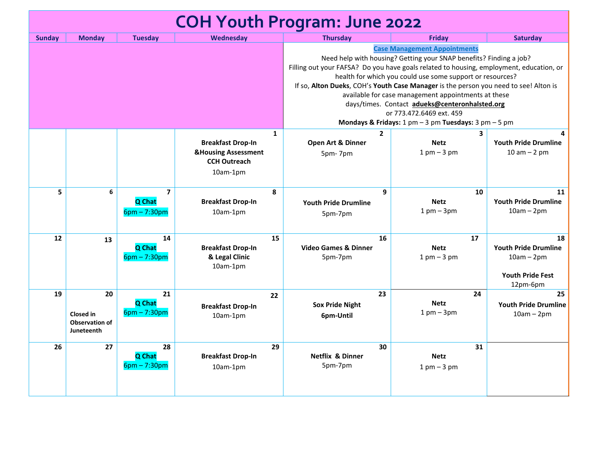| <b>COH Youth Program: June 2022</b> |                                                               |                                                     |                                                                                                               |                                                                                                                                                                                                                                                                                                                                                                                                                                                                                                                                                        |                                                   |                                                                                          |
|-------------------------------------|---------------------------------------------------------------|-----------------------------------------------------|---------------------------------------------------------------------------------------------------------------|--------------------------------------------------------------------------------------------------------------------------------------------------------------------------------------------------------------------------------------------------------------------------------------------------------------------------------------------------------------------------------------------------------------------------------------------------------------------------------------------------------------------------------------------------------|---------------------------------------------------|------------------------------------------------------------------------------------------|
| <b>Sunday</b>                       | <b>Monday</b>                                                 | <b>Tuesday</b>                                      | Wednesday                                                                                                     | <b>Thursday</b>                                                                                                                                                                                                                                                                                                                                                                                                                                                                                                                                        | <b>Fridav</b>                                     | <b>Saturday</b>                                                                          |
|                                     |                                                               |                                                     |                                                                                                               | <b>Case Management Appointments</b><br>Need help with housing? Getting your SNAP benefits? Finding a job?<br>Filling out your FAFSA? Do you have goals related to housing, employment, education, or<br>health for which you could use some support or resources?<br>If so, Alton Dueks, COH's Youth Case Manager is the person you need to see! Alton is<br>available for case management appointments at these<br>days/times. Contact adueks@centeronhalsted.org<br>or 773.472.6469 ext. 459<br>Mondays & Fridays: 1 pm - 3 pm Tuesdays: 3 pm - 5 pm |                                                   |                                                                                          |
|                                     |                                                               |                                                     | $\mathbf{1}$<br><b>Breakfast Drop-In</b><br><b>&amp;Housing Assessment</b><br><b>CCH Outreach</b><br>10am-1pm | $\mathbf{2}$<br>Open Art & Dinner<br>5pm-7pm                                                                                                                                                                                                                                                                                                                                                                                                                                                                                                           | 3<br><b>Netz</b><br>$1 \text{ pm} - 3 \text{ pm}$ | <b>Youth Pride Drumline</b><br>$10 am - 2 pm$                                            |
| 5                                   | 6                                                             | $\overline{\mathbf{z}}$<br>Q Chat<br>$6pm - 7:30pm$ | 8<br><b>Breakfast Drop-In</b><br>10am-1pm                                                                     | $\mathbf{q}$<br><b>Youth Pride Drumline</b><br>5pm-7pm                                                                                                                                                                                                                                                                                                                                                                                                                                                                                                 | 10<br><b>Netz</b><br>$1$ pm $-$ 3pm               | 11<br><b>Youth Pride Drumline</b><br>$10am - 2pm$                                        |
| 12                                  | 13                                                            | 14<br>Q Chat<br>$6pm - 7:30pm$                      | 15<br><b>Breakfast Drop-In</b><br>& Legal Clinic<br>$10am-1pm$                                                | 16<br><b>Video Games &amp; Dinner</b><br>5pm-7pm                                                                                                                                                                                                                                                                                                                                                                                                                                                                                                       | 17<br><b>Netz</b><br>$1$ pm $-3$ pm               | 18<br><b>Youth Pride Drumline</b><br>$10am - 2pm$<br><b>Youth Pride Fest</b><br>12pm-6pm |
| 19                                  | 20<br><b>Closed in</b><br><b>Observation of</b><br>Juneteenth | 21<br>Q Chat<br>$6pm - 7:30pm$                      | 22<br><b>Breakfast Drop-In</b><br>10am-1pm                                                                    | 23<br><b>Sox Pride Night</b><br>6pm-Until                                                                                                                                                                                                                                                                                                                                                                                                                                                                                                              | 24<br><b>Netz</b><br>$1 \text{ pm} - 3 \text{pm}$ | 25<br><b>Youth Pride Drumline</b><br>$10am - 2pm$                                        |
| 26                                  | 27                                                            | 28<br>Q Chat<br>$6pm - 7:30pm$                      | 29<br><b>Breakfast Drop-In</b><br>10am-1pm                                                                    | 30<br><b>Netflix &amp; Dinner</b><br>5pm-7pm                                                                                                                                                                                                                                                                                                                                                                                                                                                                                                           | 31<br><b>Netz</b><br>$1$ pm $-3$ pm               |                                                                                          |